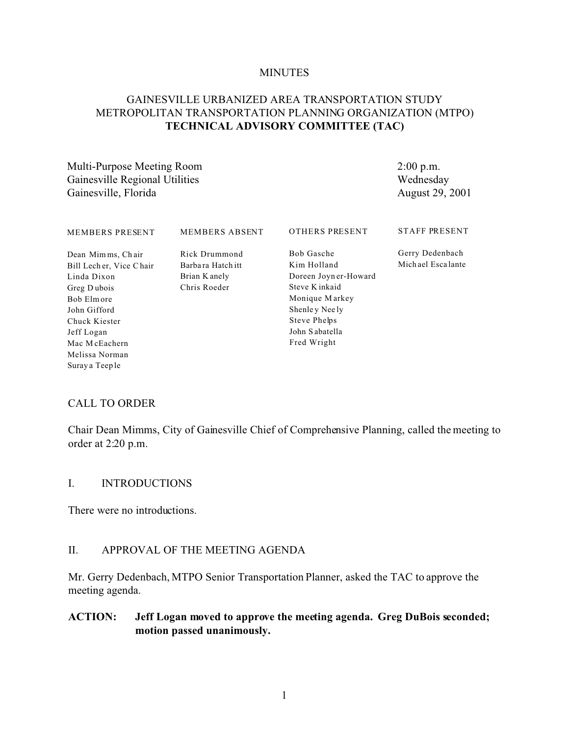#### **MINUTES**

#### GAINESVILLE URBANIZED AREA TRANSPORTATION STUDY METROPOLITAN TRANSPORTATION PLANNING ORGANIZATION (MTPO) TECHNICAL ADVISORY COMMITTEE (TAC)

Multi-Purpose Meeting Room Gainesville Regional Utilities Gainesville, Florida

 $2:00$  p.m. Wednesday August 29, 2001

| <b>MEMBERS PRESENT</b>                                                                                                                                                     | <b>MEMBERS ABSENT</b>                                                | <b>OTHERS PRESENT</b>                                                                                                                                    | <b>STAFF PRESENT</b>                 |
|----------------------------------------------------------------------------------------------------------------------------------------------------------------------------|----------------------------------------------------------------------|----------------------------------------------------------------------------------------------------------------------------------------------------------|--------------------------------------|
| Dean Mimms, Chair<br>Bill Lecher, Vice Chair<br>Linda Dixon<br>Greg Dubois<br>Bob Elmore<br>John Gifford<br>Chuck Kiester<br>Jeff Logan<br>Mac McEachern<br>Melissa Norman | Rick Drummond<br>Barba ra Hatch itt<br>Brian K anely<br>Chris Roeder | Bob Gasche<br>Kim Holland<br>Doreen Joyn er-Howard<br>Steve K inkaid<br>Monique Markey<br>Shenley Neely<br>Steve Phelps<br>John Sabatella<br>Fred Wright | Gerry Dedenbach<br>Michael Escalante |
| Suray a Teep le                                                                                                                                                            |                                                                      |                                                                                                                                                          |                                      |

#### **CALL TO ORDER**

Chair Dean Mimms, City of Gainesville Chief of Comprehensive Planning, called the meeting to order at 2:20 p.m.

#### $\mathbf{L}$ **INTRODUCTIONS**

There were no introductions.

#### $II.$ APPROVAL OF THE MEETING AGENDA

Mr. Gerry Dedenbach, MTPO Senior Transportation Planner, asked the TAC to approve the meeting agenda.

#### **ACTION:** Jeff Logan moved to approve the meeting agenda. Greg DuBois seconded; motion passed unanimously.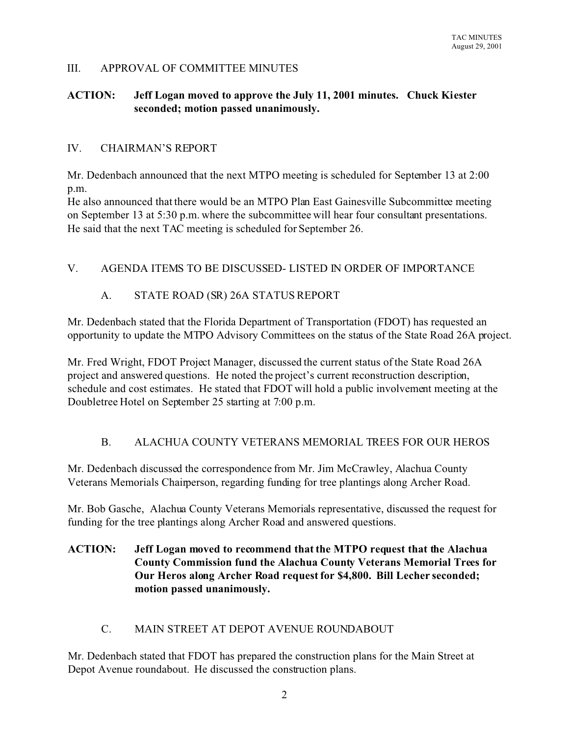#### III. APPROVAL OF COMMITTEE MINUTES

#### **ACTION: Jeff Logan moved to approve the July 11, 2001 minutes. Chuck Kiester seconded; motion passed unanimously.**

#### IV. CHAIRMAN'S REPORT

Mr. Dedenbach announced that the next MTPO meeting is scheduled for September 13 at 2:00 p.m.

He also announced that there would be an MTPO Plan East Gainesville Subcommittee meeting on September 13 at 5:30 p.m. where the subcommittee will hear four consultant presentations. He said that the next TAC meeting is scheduled for September 26.

## V. AGENDA ITEMS TO BE DISCUSSED- LISTED IN ORDER OF IMPORTANCE

#### A. STATE ROAD (SR) 26A STATUS REPORT

Mr. Dedenbach stated that the Florida Department of Transportation (FDOT) has requested an opportunity to update the MTPO Advisory Committees on the status of the State Road 26A project.

Mr. Fred Wright, FDOT Project Manager, discussed the current status of the State Road 26A project and answered questions. He noted the project's current reconstruction description, schedule and cost estimates. He stated that FDOT will hold a public involvement meeting at the Doubletree Hotel on September 25 starting at 7:00 p.m.

## B. ALACHUA COUNTY VETERANS MEMORIAL TREES FOR OUR HEROS

Mr. Dedenbach discussed the correspondence from Mr. Jim McCrawley, Alachua County Veterans Memorials Chairperson, regarding funding for tree plantings along Archer Road.

Mr. Bob Gasche, Alachua County Veterans Memorials representative, discussed the request for funding for the tree plantings along Archer Road and answered questions.

# **ACTION: Jeff Logan moved to recommend that the MTPO request that the Alachua County Commission fund the Alachua County Veterans Memorial Trees for Our Heros along Archer Road request for \$4,800. Bill Lecher seconded; motion passed unanimously.**

#### C. MAIN STREET AT DEPOT AVENUE ROUNDABOUT

Mr. Dedenbach stated that FDOT has prepared the construction plans for the Main Street at Depot Avenue roundabout. He discussed the construction plans.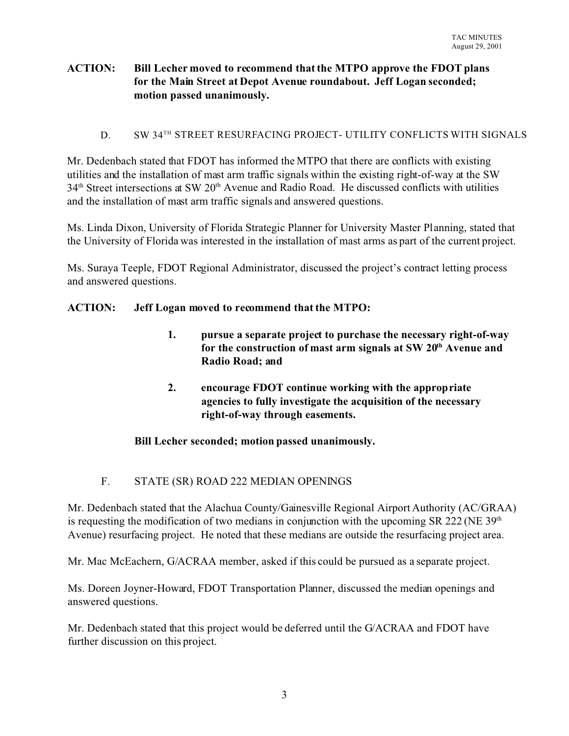## **ACTION: Bill Lecher moved to recommend that the MTPO approve the FDOT plans for the Main Street at Depot Avenue roundabout. Jeff Logan seconded; motion passed unanimously.**

#### D. SW 34<sup>TH</sup> STREET RESURFACING PROJECT- UTILITY CONFLICTS WITH SIGNALS

Mr. Dedenbach stated that FDOT has informed the MTPO that there are conflicts with existing utilities and the installation of mast arm traffic signals within the existing right-of-way at the SW 34th Street intersections at SW 20th Avenue and Radio Road. He discussed conflicts with utilities and the installation of mast arm traffic signals and answered questions.

Ms. Linda Dixon, University of Florida Strategic Planner for University Master Planning, stated that the University of Florida was interested in the installation of mast arms as part of the current project.

Ms. Suraya Teeple, FDOT Regional Administrator, discussed the project's contract letting process and answered questions.

#### **ACTION: Jeff Logan moved to recommend that the MTPO:**

- **1. pursue a separate project to purchase the necessary right-of-way for the construction of mast arm signals at SW 20th Avenue and Radio Road; and**
- **2. encourage FDOT continue working with the appropriate agencies to fully investigate the acquisition of the necessary right-of-way through easements.**

## **Bill Lecher seconded; motion passed unanimously.**

## F. STATE (SR) ROAD 222 MEDIAN OPENINGS

Mr. Dedenbach stated that the Alachua County/Gainesville Regional Airport Authority (AC/GRAA) is requesting the modification of two medians in conjunction with the upcoming SR 222 (NE  $39<sup>th</sup>$ Avenue) resurfacing project. He noted that these medians are outside the resurfacing project area.

Mr. Mac McEachern, G/ACRAA member, asked if this could be pursued as a separate project.

Ms. Doreen Joyner-Howard, FDOT Transportation Planner, discussed the median openings and answered questions.

Mr. Dedenbach stated that this project would be deferred until the G/ACRAA and FDOT have further discussion on this project.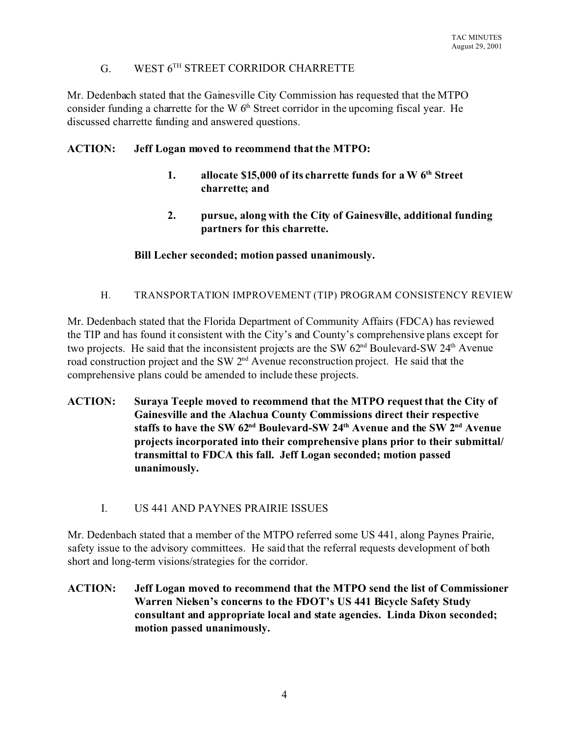# G. WEST 6TH STREET CORRIDOR CHARRETTE

Mr. Dedenbach stated that the Gainesville City Commission has requested that the MTPO consider funding a charrette for the W  $6<sup>th</sup>$  Street corridor in the upcoming fiscal year. He discussed charrette funding and answered questions.

# **ACTION: Jeff Logan moved to recommend that the MTPO:**

- **1. allocate \$15,000 of its charrette funds for a W 6th Street charrette; and**
- **2. pursue, along with the City of Gainesville, additional funding partners for this charrette.**

# **Bill Lecher seconded; motion passed unanimously.**

## H. TRANSPORTATION IMPROVEMENT (TIP) PROGRAM CONSISTENCY REVIEW

Mr. Dedenbach stated that the Florida Department of Community Affairs (FDCA) has reviewed the TIP and has found it consistent with the City's and County's comprehensive plans except for two projects. He said that the inconsistent projects are the SW  $62<sup>nd</sup>$  Boulevard-SW  $24<sup>th</sup>$  Avenue road construction project and the SW 2nd Avenue reconstruction project. He said that the comprehensive plans could be amended to include these projects.

- **ACTION: Suraya Teeple moved to recommend that the MTPO request that the City of Gainesville and the Alachua County Commissions direct their respective staffs to have the SW 62nd Boulevard-SW 24th Avenue and the SW 2nd Avenue projects incorporated into their comprehensive plans prior to their submittal/ transmittal to FDCA this fall. Jeff Logan seconded; motion passed unanimously.** 
	- I. US 441 AND PAYNES PRAIRIE ISSUES

Mr. Dedenbach stated that a member of the MTPO referred some US 441, along Paynes Prairie, safety issue to the advisory committees. He said that the referral requests development of both short and long-term visions/strategies for the corridor.

**ACTION: Jeff Logan moved to recommend that the MTPO send the list of Commissioner Warren Nielsen's concerns to the FDOT's US 441 Bicycle Safety Study consultant and appropriate local and state agencies. Linda Dixon seconded; motion passed unanimously.**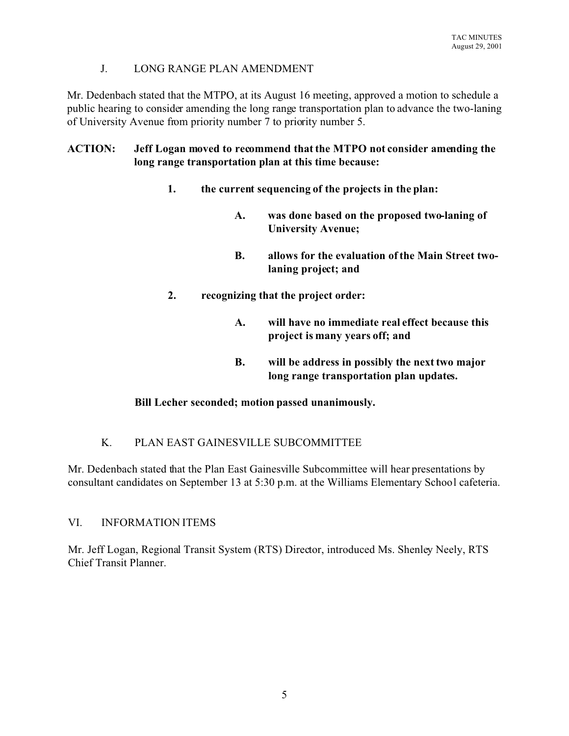### J. LONG RANGE PLAN AMENDMENT

Mr. Dedenbach stated that the MTPO, at its August 16 meeting, approved a motion to schedule a public hearing to consider amending the long range transportation plan to advance the two-laning of University Avenue from priority number 7 to priority number 5.

# **ACTION: Jeff Logan moved to recommend that the MTPO not consider amending the long range transportation plan at this time because:**

- **1. the current sequencing of the projects in the plan:**
	- **A. was done based on the proposed two-laning of University Avenue;**
	- **B. allows for the evaluation of the Main Street twolaning project; and**
- **2. recognizing that the project order:**
	- **A. will have no immediate real effect because this project is many years off; and**
	- **B. will be address in possibly the next two major long range transportation plan updates.**

## **Bill Lecher seconded; motion passed unanimously.**

## K. PLAN EAST GAINESVILLE SUBCOMMITTEE

Mr. Dedenbach stated that the Plan East Gainesville Subcommittee will hear presentations by consultant candidates on September 13 at 5:30 p.m. at the Williams Elementary School cafeteria.

## VI. INFORMATION ITEMS

Mr. Jeff Logan, Regional Transit System (RTS) Director, introduced Ms. Shenley Neely, RTS Chief Transit Planner.